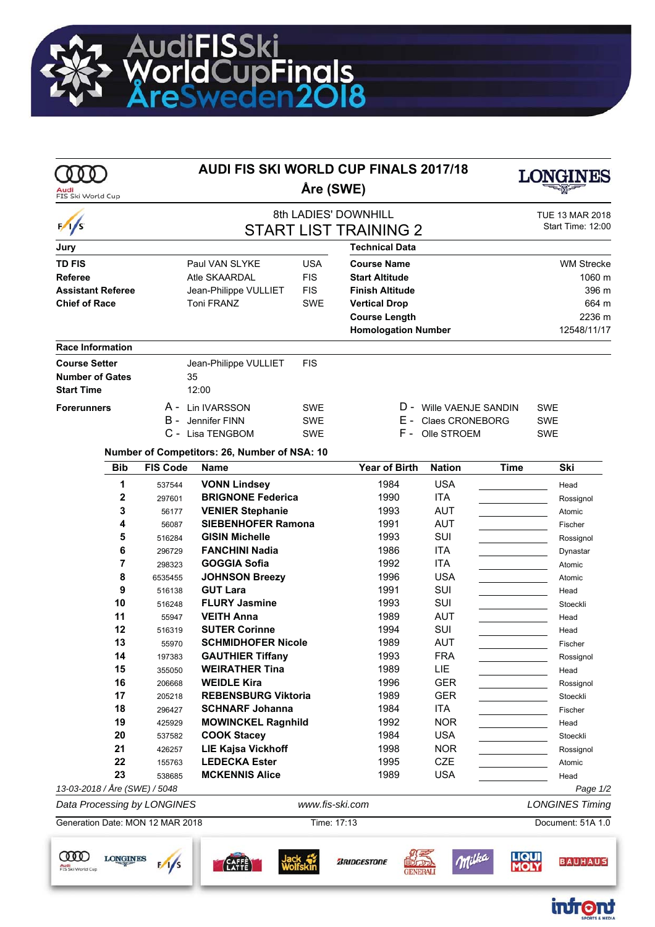

|                                          |                 |                  |                                                      | <b>AUDI FIS SKI WORLD CUP FINALS 2017/18</b> |                                             |                          |                      |                        |  |
|------------------------------------------|-----------------|------------------|------------------------------------------------------|----------------------------------------------|---------------------------------------------|--------------------------|----------------------|------------------------|--|
| FIS Ski World Cup                        |                 | Åre (SWE)        |                                                      |                                              |                                             |                          |                      |                        |  |
|                                          |                 |                  |                                                      |                                              | 8th LADIES' DOWNHILL                        |                          |                      | <b>TUE 13 MAR 2018</b> |  |
| $\frac{1}{s}$                            |                 |                  |                                                      |                                              | <b>START LIST TRAINING 2</b>                |                          |                      | Start Time: 12:00      |  |
| Jury                                     |                 |                  |                                                      |                                              | <b>Technical Data</b>                       |                          |                      |                        |  |
| <b>TD FIS</b>                            |                 |                  | Paul VAN SLYKE                                       | <b>USA</b>                                   | <b>Course Name</b>                          |                          |                      | <b>WM Strecke</b>      |  |
| Referee                                  |                 |                  | Atle SKAARDAL                                        | <b>FIS</b>                                   | <b>Start Altitude</b>                       |                          |                      | 1060 m                 |  |
| <b>Assistant Referee</b>                 |                 |                  | Jean-Philippe VULLIET                                | <b>FIS</b>                                   | <b>Finish Altitude</b>                      |                          |                      | 396 m                  |  |
| <b>Chief of Race</b>                     |                 |                  | <b>Toni FRANZ</b>                                    | <b>SWE</b>                                   | <b>Vertical Drop</b>                        |                          |                      | 664 m                  |  |
|                                          |                 |                  |                                                      |                                              | <b>Course Length</b>                        |                          | 2236 m               |                        |  |
|                                          |                 |                  |                                                      |                                              | <b>Homologation Number</b>                  |                          |                      | 12548/11/17            |  |
| Race Information                         |                 |                  |                                                      |                                              |                                             |                          |                      |                        |  |
| <b>Course Setter</b>                     |                 |                  | Jean-Philippe VULLIET                                | <b>FIS</b>                                   |                                             |                          |                      |                        |  |
| <b>Number of Gates</b>                   |                 |                  | 35                                                   |                                              |                                             |                          |                      |                        |  |
| <b>Start Time</b>                        |                 |                  | 12:00                                                |                                              |                                             |                          |                      |                        |  |
| <b>Forerunners</b>                       |                 |                  | A - Lin IVARSSON                                     | <b>SWE</b>                                   |                                             | D - Wille VAENJE SANDIN  |                      | <b>SWE</b>             |  |
|                                          |                 | в -              | Jennifer FINN                                        | <b>SWE</b>                                   | E - 1                                       | <b>Claes CRONEBORG</b>   |                      | <b>SWE</b>             |  |
|                                          |                 |                  | C - Lisa TENGBOM                                     | <b>SWE</b>                                   | F - 1                                       | Olle STROEM              |                      | <b>SWE</b>             |  |
|                                          |                 |                  | Number of Competitors: 26, Number of NSA: 10         |                                              |                                             |                          |                      |                        |  |
|                                          | <b>Bib</b>      | <b>FIS Code</b>  | <b>Name</b>                                          |                                              | <b>Year of Birth</b>                        | <b>Nation</b>            | <b>Time</b>          | Ski                    |  |
|                                          | 1               | 537544           | <b>VONN Lindsey</b>                                  |                                              | 1984                                        | <b>USA</b>               |                      | Head                   |  |
|                                          | $\mathbf{2}$    | 297601           | <b>BRIGNONE Federica</b>                             |                                              | 1990                                        | ITA                      |                      | Rossignol              |  |
|                                          | 3               | 56177            | <b>VENIER Stephanie</b>                              |                                              | 1993                                        | <b>AUT</b>               |                      | Atomic                 |  |
|                                          | 4               | 56087            | <b>SIEBENHOFER Ramona</b>                            |                                              | 1991                                        | <b>AUT</b>               |                      | Fischer                |  |
|                                          | 5               | 516284           | <b>GISIN Michelle</b>                                |                                              | 1993                                        | SUI                      |                      | Rossignol              |  |
|                                          | 6               | 296729           | <b>FANCHINI Nadia</b>                                |                                              | 1986                                        | <b>ITA</b>               |                      | Dynastar               |  |
|                                          | 7               | 298323           | GOGGIA Sofia                                         |                                              | 1992                                        | <b>ITA</b>               |                      | Atomic                 |  |
|                                          | 8               | 6535455          | <b>JOHNSON Breezy</b>                                |                                              | 1996                                        | <b>USA</b>               |                      | Atomic                 |  |
|                                          | 9               | 516138           | <b>GUT Lara</b>                                      |                                              | 1991                                        | SUI                      |                      | Head                   |  |
|                                          | 10              | 516248           | <b>FLURY Jasmine</b>                                 |                                              | 1993                                        | SUI                      |                      | Stoeckli               |  |
|                                          | 11              | 55947            | <b>VEITH Anna</b>                                    |                                              | 1989                                        | <b>AUT</b>               |                      | Head                   |  |
|                                          | 12              | 516319           | <b>SUTER Corinne</b>                                 |                                              | 1994                                        | SUI                      |                      | Head                   |  |
|                                          | 13              | 55970            | SCHMIDHOFER Nicole                                   |                                              | 1989                                        | AUT                      |                      | Fischer                |  |
|                                          | 14              | 197383           | <b>GAUTHIER Tiffany</b>                              |                                              | 1993                                        | <b>FRA</b>               |                      | Rossignol              |  |
|                                          | 15              | 355050           | <b>WEIRATHER Tina</b><br><b>WEIDLE Kira</b>          |                                              | 1989                                        | <b>LIE</b>               |                      | Head                   |  |
|                                          | 16              | 206668           |                                                      |                                              | 1996                                        | <b>GER</b><br><b>GER</b> |                      | Rossignol              |  |
|                                          | 17<br>18        | 205218           | <b>REBENSBURG Viktoria</b><br><b>SCHNARF Johanna</b> |                                              | 1989<br>1984                                | <b>ITA</b>               |                      | Stoeckli               |  |
|                                          | 19              | 296427<br>425929 | <b>MOWINCKEL Ragnhild</b>                            |                                              | 1992                                        | <b>NOR</b>               |                      | Fischer                |  |
|                                          | 20              | 537582           | <b>COOK Stacey</b>                                   |                                              | 1984                                        | <b>USA</b>               |                      | Head<br>Stoeckli       |  |
|                                          | 21              | 426257           | <b>LIE Kajsa Vickhoff</b>                            |                                              | 1998                                        | <b>NOR</b>               |                      | Rossignol              |  |
|                                          | 22              | 155763           | <b>LEDECKA Ester</b>                                 |                                              | 1995                                        | <b>CZE</b>               |                      | Atomic                 |  |
|                                          | 23              | 538685           | <b>MCKENNIS Alice</b>                                |                                              | 1989                                        | <b>USA</b>               |                      | Head                   |  |
| 13-03-2018 / Åre (SWE) / 5048            |                 |                  |                                                      |                                              |                                             |                          |                      | Page 1/2               |  |
| Data Processing by LONGINES              |                 |                  |                                                      | www.fis-ski.com                              |                                             |                          |                      | <b>LONGINES Timing</b> |  |
| Generation Date: MON 12 MAR 2018         |                 |                  |                                                      | Time: 17:13                                  |                                             |                          | Document: 51A 1.0    |                        |  |
| <b>COOD</b><br>Audi<br>FIS Ski World Cup | <b>LONGINES</b> |                  | CAFFÈ<br>LATTE                                       |                                              | <b><i>BRIDGESTONE</i></b><br><b>GENERAL</b> | Ville                    | <b>LIQUI</b><br>MOLY | <b>BAUHAUS</b>         |  |